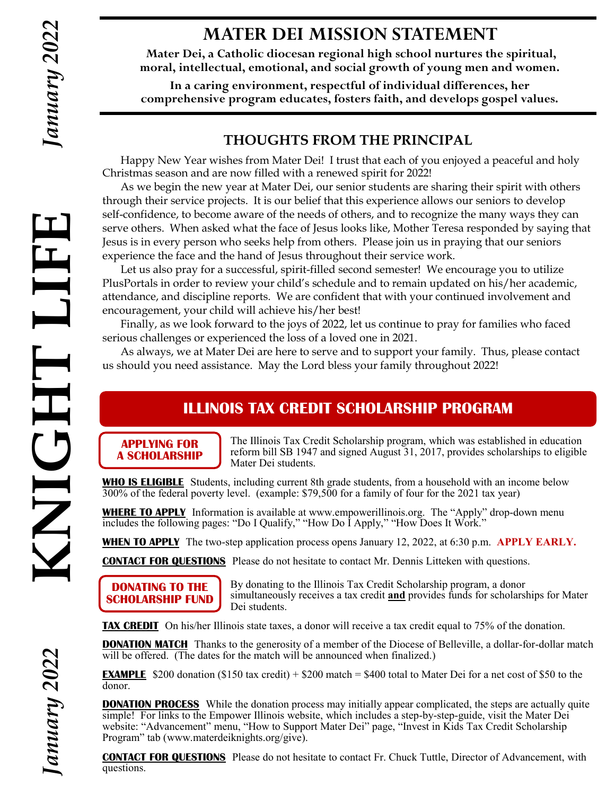LIF

THOIN

## **MATER DEI MISSION STATEMENT**

**Mater Dei, a Catholic diocesan regional high school nurtures the spiritual, moral, intellectual, emotional, and social growth of young men and women.**

**In a caring environment, respectful of individual differences, her comprehensive program educates, fosters faith, and develops gospel values.**

#### **THOUGHTS FROM THE PRINCIPAL**

Happy New Year wishes from Mater Dei! I trust that each of you enjoyed a peaceful and holy Christmas season and are now filled with a renewed spirit for 2022!

As we begin the new year at Mater Dei, our senior students are sharing their spirit with others through their service projects. It is our belief that this experience allows our seniors to develop self-confidence, to become aware of the needs of others, and to recognize the many ways they can serve others. When asked what the face of Jesus looks like, Mother Teresa responded by saying that Jesus is in every person who seeks help from others. Please join us in praying that our seniors experience the face and the hand of Jesus throughout their service work.

Let us also pray for a successful, spirit-filled second semester! We encourage you to utilize PlusPortals in order to review your child's schedule and to remain updated on his/her academic, attendance, and discipline reports. We are confident that with your continued involvement and encouragement, your child will achieve his/her best! **KNIGHT LIFE**

Finally, as we look forward to the joys of 2022, let us continue to pray for families who faced serious challenges or experienced the loss of a loved one in 2021.

As always, we at Mater Dei are here to serve and to support your family. Thus, please contact us should you need assistance. May the Lord bless your family throughout 2022!

## **ILLINOIS TAX CREDIT SCHOLARSHIP PROGRAM**

**APPLYING FOR A SCHOLARSHIP** The Illinois Tax Credit Scholarship program, which was established in education reform bill SB 1947 and signed August 31, 2017, provides scholarships to eligible Mater Dei students.

**WHO IS ELIGIBLE** Students, including current 8th grade students, from a household with an income below 300% of the federal poverty level. (example: \$79,500 for a family of four for the 2021 tax year)

**WHERE TO APPLY** Information is available at www.empowerillinois.org. The "Apply" drop-down menu includes the following pages: "Do I Qualify," "How Do I Apply," "How Does It Work."

**WHEN TO APPLY** The two-step application process opens January 12, 2022, at 6:30 p.m. **APPLY EARLY.** 

**CONTACT FOR QUESTIONS** Please do not hesitate to contact Mr. Dennis Litteken with questions.

**DONATING TO THE SCHOLARSHIP FUND**

By donating to the Illinois Tax Credit Scholarship program, a donor simultaneously receives a tax credit **and** provides funds for scholarships for Mater Dei students.

**TAX CREDIT** On his/her Illinois state taxes, a donor will receive a tax credit equal to 75% of the donation.

**DONATION MATCH** Thanks to the generosity of a member of the Diocese of Belleville, a dollar-for-dollar match will be offered. (The dates for the match will be announced when finalized.)

**EXAMPLE** \$200 donation (\$150 tax credit) + \$200 match = \$400 total to Mater Dei for a net cost of \$50 to the donor.

**DONATION PROCESS** While the donation process may initially appear complicated, the steps are actually quite simple! For links to the Empower Illinois website, which includes a step-by-step-guide, visit the Mater Dei website: "Advancement" menu, "How to Support Mater Dei" page, "Invest in Kids Tax Credit Scholarship Program" tab (www.materdeiknights.org/give).

**CONTACT FOR QUESTIONS** Please do not hesitate to contact Fr. Chuck Tuttle, Director of Advancement, with questions.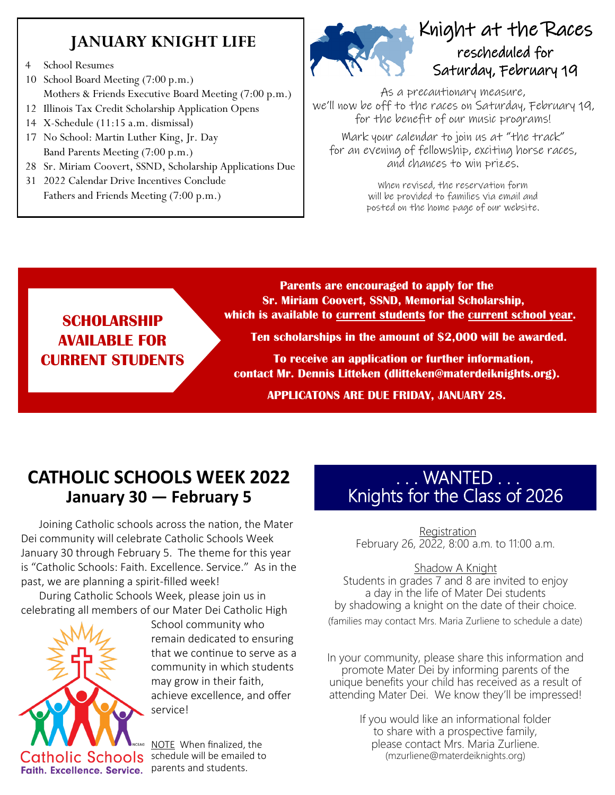## **JANUARY KNIGHT LIFE**

- 4 School Resumes
- 10 School Board Meeting (7:00 p.m.) Mothers & Friends Executive Board Meeting (7:00 p.m.)
- 12 Illinois Tax Credit Scholarship Application Opens
- 14 X-Schedule (11:15 a.m. dismissal)
- 17 No School: Martin Luther King, Jr. Day Band Parents Meeting (7:00 p.m.)
- 28 Sr. Miriam Coovert, SSND, Scholarship Applications Due
- 31 2022 Calendar Drive Incentives Conclude Fathers and Friends Meeting (7:00 p.m.)



## Knight at the Races rescheduled for Saturday, February 19

As a precautionary measure, we'll now be off to the races on Saturday, February 19, for the benefit of our music programs!

Mark your calendar to join us at "the track" for an evening of fellowship, exciting horse races, and chances to win prizes.

> When revised, the reservation form will be provided to families via email and posted on the home page of our website.

## **SCHOLARSHIP AVAILABLE FOR CURRENT STUDENTS**

**Parents are encouraged to apply for the Sr. Miriam Coovert, SSND, Memorial Scholarship, which is available to current students for the current school year.**

**Ten scholarships in the amount of \$2,000 will be awarded.**

**To receive an application or further information, contact Mr. Dennis Litteken (dlitteken@materdeiknights.org).**

**APPLICATONS ARE DUE FRIDAY, JANUARY 28.**

## **CATHOLIC SCHOOLS WEEK 2022 January 30 — February 5**

Joining Catholic schools across the nation, the Mater Dei community will celebrate Catholic Schools Week January 30 through February 5. The theme for this year is "Catholic Schools: Faith. Excellence. Service." As in the past, we are planning a spirit-filled week!

During Catholic Schools Week, please join us in celebrating all members of our Mater Dei Catholic High



School community who remain dedicated to ensuring that we continue to serve as a community in which students may grow in their faith, achieve excellence, and offer service!

NOTE When finalized, the schedule will be emailed to

## . . . WANTED . . . Knights for the Class of 2026

Registration February 26, 2022, 8:00 a.m. to 11:00 a.m.

#### Shadow A Knight

Students in grades 7 and 8 are invited to enjoy a day in the life of Mater Dei students by shadowing a knight on the date of their choice. (families may contact Mrs. Maria Zurliene to schedule a date)

In your community, please share this information and promote Mater Dei by informing parents of the unique benefits your child has received as a result of attending Mater Dei. We know they'll be impressed!

> If you would like an informational folder to share with a prospective family, please contact Mrs. Maria Zurliene. (mzurliene@materdeiknights.org)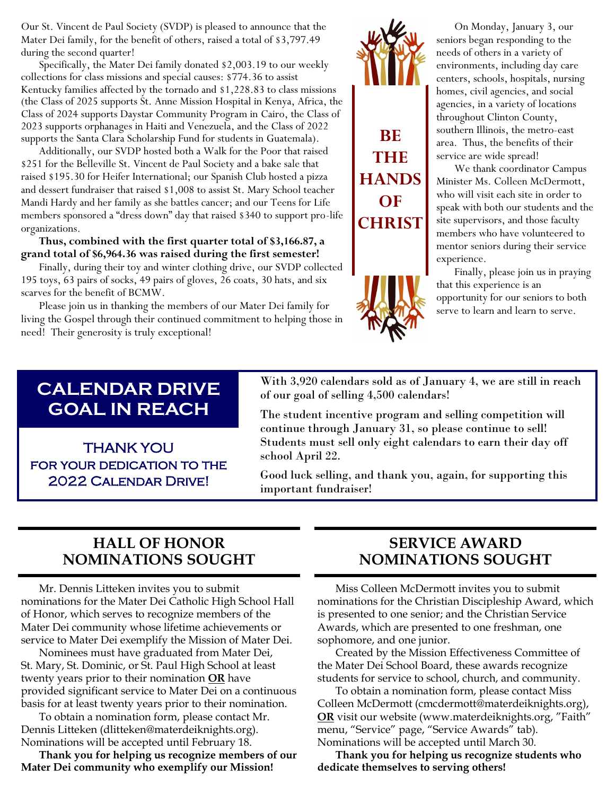Our St. Vincent de Paul Society (SVDP) is pleased to announce that the Mater Dei family, for the benefit of others, raised a total of \$3,797.49 during the second quarter!

Specifically, the Mater Dei family donated \$2,003.19 to our weekly collections for class missions and special causes: \$774.36 to assist Kentucky families affected by the tornado and \$1,228.83 to class missions (the Class of 2025 supports St. Anne Mission Hospital in Kenya, Africa, the Class of 2024 supports Daystar Community Program in Cairo, the Class of 2023 supports orphanages in Haiti and Venezuela, and the Class of 2022 supports the Santa Clara Scholarship Fund for students in Guatemala).

Additionally, our SVDP hosted both a Walk for the Poor that raised \$251 for the Belleville St. Vincent de Paul Society and a bake sale that raised \$195.30 for Heifer International; our Spanish Club hosted a pizza and dessert fundraiser that raised \$1,008 to assist St. Mary School teacher Mandi Hardy and her family as she battles cancer; and our Teens for Life members sponsored a "dress down" day that raised \$340 to support pro-life organizations.

**Thus, combined with the first quarter total of \$3,166.87, a grand total of \$6,964.36 was raised during the first semester!**

Finally, during their toy and winter clothing drive, our SVDP collected 195 toys, 63 pairs of socks, 49 pairs of gloves, 26 coats, 30 hats, and six scarves for the benefit of BCMW.

Please join us in thanking the members of our Mater Dei family for living the Gospel through their continued commitment to helping those in need! Their generosity is truly exceptional!

# **BE THE HANDS OF CHRIST**



On Monday, January 3, our seniors began responding to the needs of others in a variety of environments, including day care centers, schools, hospitals, nursing homes, civil agencies, and social agencies, in a variety of locations throughout Clinton County, southern Illinois, the metro-east area. Thus, the benefits of their service are wide spread!

We thank coordinator Campus Minister Ms. Colleen McDermott, who will visit each site in order to speak with both our students and the site supervisors, and those faculty members who have volunteered to mentor seniors during their service experience.

Finally, please join us in praying that this experience is an opportunity for our seniors to both serve to learn and learn to serve.

## **CALENDAR DRIVE GOAL IN REACH**

THANK YOU FOR YOUR DEDICATION TO THE 2022 Calendar Drive!

With 3,920 calendars sold as of January 4, we are still in reach of our goal of selling 4,500 calendars!

The student incentive program and selling competition will continue through January 31, so please continue to sell! Students must sell only eight calendars to earn their day off school April 22.

Good luck selling, and thank you, again, for supporting this important fundraiser!

#### **HALL OF HONOR NOMINATIONS SOUGHT**

Mr. Dennis Litteken invites you to submit nominations for the Mater Dei Catholic High School Hall of Honor, which serves to recognize members of the Mater Dei community whose lifetime achievements or service to Mater Dei exemplify the Mission of Mater Dei.

Nominees must have graduated from Mater Dei, St. Mary, St. Dominic, or St. Paul High School at least twenty years prior to their nomination **OR** have provided significant service to Mater Dei on a continuous basis for at least twenty years prior to their nomination.

To obtain a nomination form, please contact Mr. Dennis Litteken (dlitteken@materdeiknights.org). Nominations will be accepted until February 18.

**Thank you for helping us recognize members of our Mater Dei community who exemplify our Mission!**

#### **SERVICE AWARD NOMINATIONS SOUGHT**

Miss Colleen McDermott invites you to submit nominations for the Christian Discipleship Award, which is presented to one senior; and the Christian Service Awards, which are presented to one freshman, one sophomore, and one junior.

Created by the Mission Effectiveness Committee of the Mater Dei School Board, these awards recognize students for service to school, church, and community.

To obtain a nomination form, please contact Miss Colleen McDermott (cmcdermott@materdeiknights.org), **OR** visit our website (www.materdeiknights.org, "Faith" menu, "Service" page, "Service Awards" tab). Nominations will be accepted until March 30.

**Thank you for helping us recognize students who dedicate themselves to serving others!**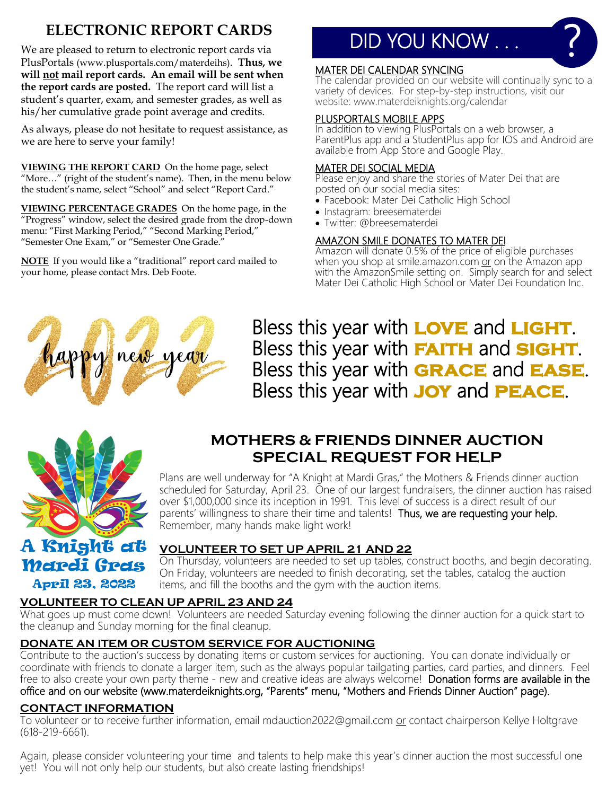## **ELECTRONIC REPORT CARDS**

We are pleased to return to electronic report cards via PlusPortals (www.plusportals.com/materdeihs). **Thus, we will not mail report cards. An email will be sent when the report cards are posted.** The report card will list a student's quarter, exam, and semester grades, as well as his/her cumulative grade point average and credits.

As always, please do not hesitate to request assistance, as we are here to serve your family!

**VIEWING THE REPORT CARD** On the home page, select "More…" (right of the student's name). Then, in the menu below the student's name, select "School" and select "Report Card."

**VIEWING PERCENTAGE GRADES** On the home page, in the "Progress" window, select the desired grade from the drop-down menu: "First Marking Period," "Second Marking Period," "Semester One Exam," or "Semester One Grade."

**NOTE** If you would like a "traditional" report card mailed to your home, please contact Mrs. Deb Foote.

## DID YOU KNOW . . .

#### MATER DEI CALENDAR SYNCING

The calendar provided on our website will continually sync to a variety of devices. For step-by-step instructions, visit our website: www.materdeiknights.org/calendar

?

#### PLUSPORTALS MOBILE APPS

In addition to viewing PlusPortals on a web browser, a ParentPlus app and a StudentPlus app for IOS and Android are available from App Store and Google Play.

#### MATER DEI SOCIAL MEDIA

Please enjoy and share the stories of Mater Dei that are posted on our social media sites:

- Facebook: Mater Dei Catholic High School
- Instagram: breesematerdei
- Twitter: @breesematerdei

#### AMAZON SMILE DONATES TO MATER DEI

Amazon will donate 0.5% of the price of eligible purchases when you shop at smile.amazon.com or on the Amazon app with the AmazonSmile setting on. Simply search for and select Mater Dei Catholic High School or Mater Dei Foundation Inc.



Bless this year with **LOVE** and **LIGHT**. Bless this year with **faith** and **sight**. Bless this year with **grace** and **ease**. Bless this year with **joy** and **peace**.



## **MOTHERS & FRIENDS DINNER AUCTION SPECIAL REQUEST FOR HELP**

Plans are well underway for "A Knight at Mardi Gras," the Mothers & Friends dinner auction scheduled for Saturday, April 23. One of our largest fundraisers, the dinner auction has raised over \$1,000,000 since its inception in 1991. This level of success is a direct result of our parents' willingness to share their time and talents! Thus, we are requesting your help. Remember, many hands make light work!

## A Knight at Mardi Gras April 23, 2022

#### **VOLUNTEER TO SET UP APRIL 21 AND 22**

On Thursday, volunteers are needed to set up tables, construct booths, and begin decorating. On Friday, volunteers are needed to finish decorating, set the tables, catalog the auction items, and fill the booths and the gym with the auction items.

#### **VOLUNTEER TO CLEAN UP APRIL 23 AND 24**

What goes up must come down! Volunteers are needed Saturday evening following the dinner auction for a quick start to the cleanup and Sunday morning for the final cleanup.

#### **DONATE AN ITEM OR CUSTOM SERVICE FOR AUCTIONING**

Contribute to the auction's success by donating items or custom services for auctioning. You can donate individually or coordinate with friends to donate a larger item, such as the always popular tailgating parties, card parties, and dinners. Feel free to also create your own party theme - new and creative ideas are always welcome! Donation forms are available in the office and on our website (www.materdeiknights.org, "Parents" menu, "Mothers and Friends Dinner Auction" page).

#### **CONTACT INFORMATION**

To volunteer or to receive further information, email mdauction2022@gmail.com or contact chairperson Kellye Holtgrave (618-219-6661).

Again, please consider volunteering your time and talents to help make this year's dinner auction the most successful one yet! You will not only help our students, but also create lasting friendships!